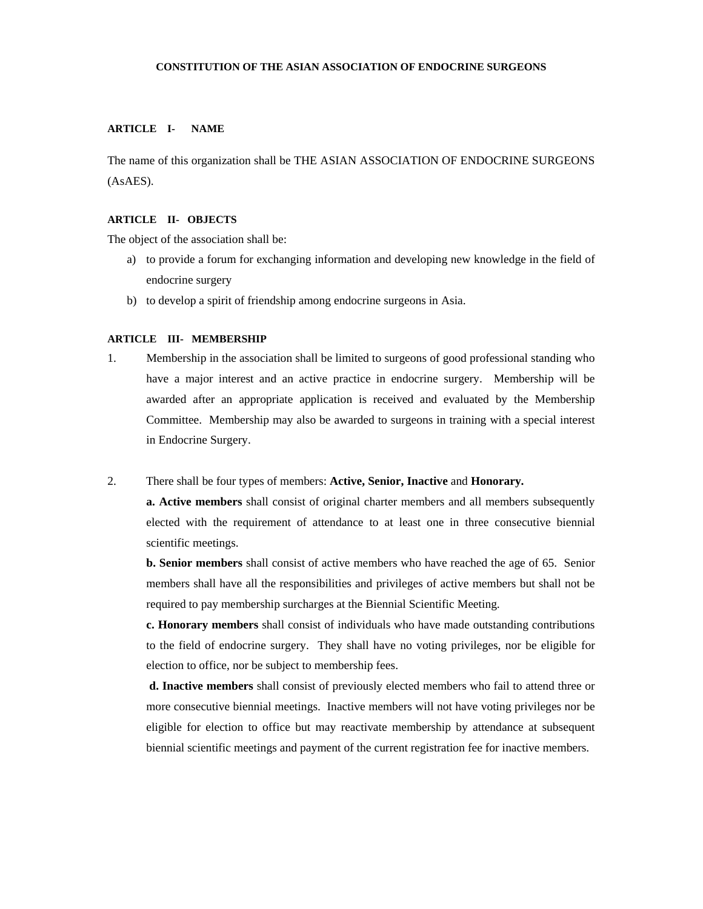#### **CONSTITUTION OF THE ASIAN ASSOCIATION OF ENDOCRINE SURGEONS**

# **ARTICLE I- NAME**

The name of this organization shall be THE ASIAN ASSOCIATION OF ENDOCRINE SURGEONS (AsAES).

### **ARTICLE II- OBJECTS**

The object of the association shall be:

- a) to provide a forum for exchanging information and developing new knowledge in the field of endocrine surgery
- b) to develop a spirit of friendship among endocrine surgeons in Asia.

#### **ARTICLE III- MEMBERSHIP**

1. Membership in the association shall be limited to surgeons of good professional standing who have a major interest and an active practice in endocrine surgery. Membership will be awarded after an appropriate application is received and evaluated by the Membership Committee. Membership may also be awarded to surgeons in training with a special interest in Endocrine Surgery.

#### 2. There shall be four types of members: **Active, Senior, Inactive** and **Honorary.**

**a. Active members** shall consist of original charter members and all members subsequently elected with the requirement of attendance to at least one in three consecutive biennial scientific meetings.

**b. Senior members** shall consist of active members who have reached the age of 65. Senior members shall have all the responsibilities and privileges of active members but shall not be required to pay membership surcharges at the Biennial Scientific Meeting.

**c. Honorary members** shall consist of individuals who have made outstanding contributions to the field of endocrine surgery. They shall have no voting privileges, nor be eligible for election to office, nor be subject to membership fees.

 **d. Inactive members** shall consist of previously elected members who fail to attend three or more consecutive biennial meetings. Inactive members will not have voting privileges nor be eligible for election to office but may reactivate membership by attendance at subsequent biennial scientific meetings and payment of the current registration fee for inactive members.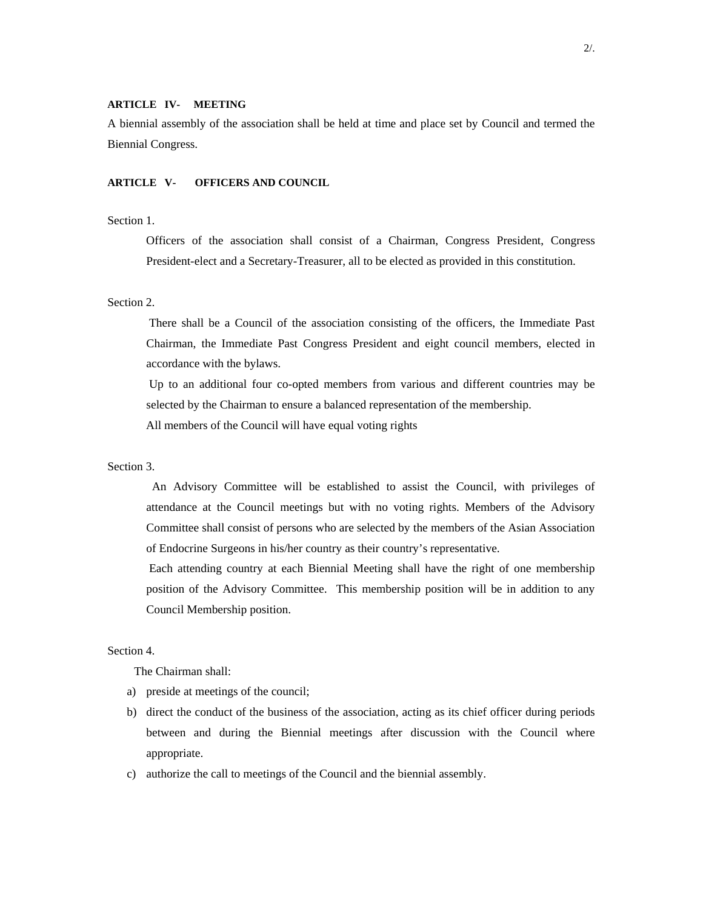### **ARTICLE IV- MEETING**

A biennial assembly of the association shall be held at time and place set by Council and termed the Biennial Congress.

## **ARTICLE V- OFFICERS AND COUNCIL**

# Section 1.

 Officers of the association shall consist of a Chairman, Congress President, Congress President-elect and a Secretary-Treasurer, all to be elected as provided in this constitution.

# Section 2.

 There shall be a Council of the association consisting of the officers, the Immediate Past Chairman, the Immediate Past Congress President and eight council members, elected in accordance with the bylaws.

 Up to an additional four co-opted members from various and different countries may be selected by the Chairman to ensure a balanced representation of the membership.

All members of the Council will have equal voting rights

### Section 3.

 An Advisory Committee will be established to assist the Council, with privileges of attendance at the Council meetings but with no voting rights. Members of the Advisory Committee shall consist of persons who are selected by the members of the Asian Association of Endocrine Surgeons in his/her country as their country's representative.

 Each attending country at each Biennial Meeting shall have the right of one membership position of the Advisory Committee. This membership position will be in addition to any Council Membership position.

# Section 4.

The Chairman shall:

- a) preside at meetings of the council;
- b) direct the conduct of the business of the association, acting as its chief officer during periods between and during the Biennial meetings after discussion with the Council where appropriate.
- c) authorize the call to meetings of the Council and the biennial assembly.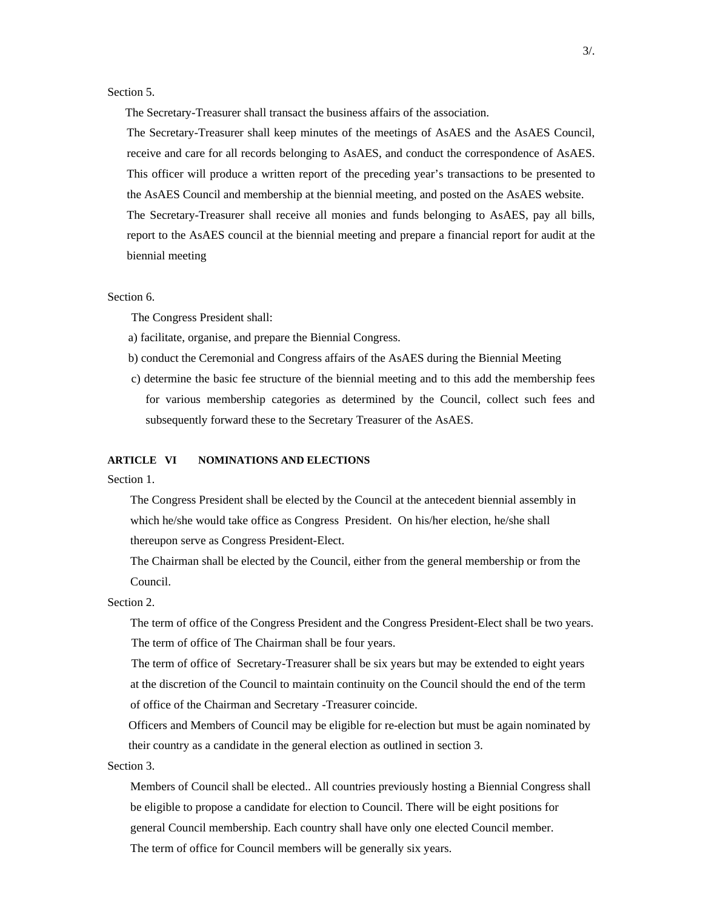Section 5.

The Secretary-Treasurer shall transact the business affairs of the association.

The Secretary-Treasurer shall keep minutes of the meetings of AsAES and the AsAES Council, receive and care for all records belonging to AsAES, and conduct the correspondence of AsAES. This officer will produce a written report of the preceding year's transactions to be presented to the AsAES Council and membership at the biennial meeting, and posted on the AsAES website. The Secretary-Treasurer shall receive all monies and funds belonging to AsAES, pay all bills, report to the AsAES council at the biennial meeting and prepare a financial report for audit at the biennial meeting

#### Section 6.

The Congress President shall:

a) facilitate, organise, and prepare the Biennial Congress.

- b) conduct the Ceremonial and Congress affairs of the AsAES during the Biennial Meeting
- c) determine the basic fee structure of the biennial meeting and to this add the membership fees for various membership categories as determined by the Council, collect such fees and subsequently forward these to the Secretary Treasurer of the AsAES.

#### **ARTICLE VI NOMINATIONS AND ELECTIONS**

Section 1.

The Congress President shall be elected by the Council at the antecedent biennial assembly in which he/she would take office as Congress President. On his/her election, he/she shall thereupon serve as Congress President-Elect.

The Chairman shall be elected by the Council, either from the general membership or from the Council.

Section 2.

The term of office of the Congress President and the Congress President-Elect shall be two years. The term of office of The Chairman shall be four years.

 The term of office of Secretary-Treasurer shall be six years but may be extended to eight years at the discretion of the Council to maintain continuity on the Council should the end of the term of office of the Chairman and Secretary -Treasurer coincide.

Officers and Members of Council may be eligible for re-election but must be again nominated by their country as a candidate in the general election as outlined in section 3.

Section 3.

Members of Council shall be elected.. All countries previously hosting a Biennial Congress shall be eligible to propose a candidate for election to Council. There will be eight positions for general Council membership. Each country shall have only one elected Council member. The term of office for Council members will be generally six years.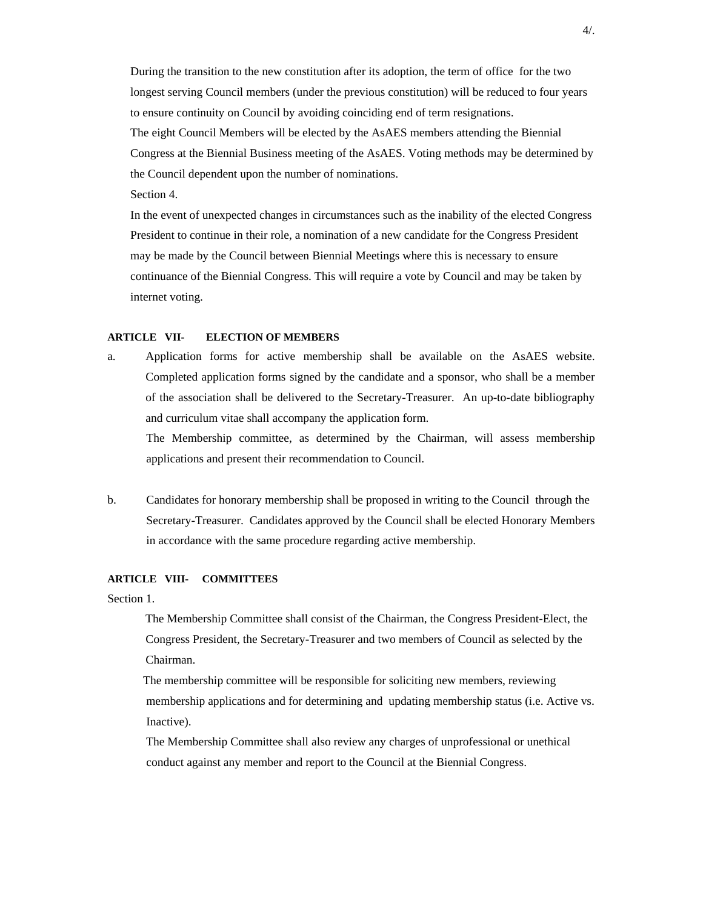During the transition to the new constitution after its adoption, the term of office for the two longest serving Council members (under the previous constitution) will be reduced to four years to ensure continuity on Council by avoiding coinciding end of term resignations. The eight Council Members will be elected by the AsAES members attending the Biennial Congress at the Biennial Business meeting of the AsAES. Voting methods may be determined by the Council dependent upon the number of nominations. Section 4.

In the event of unexpected changes in circumstances such as the inability of the elected Congress President to continue in their role, a nomination of a new candidate for the Congress President may be made by the Council between Biennial Meetings where this is necessary to ensure continuance of the Biennial Congress. This will require a vote by Council and may be taken by internet voting.

#### **ARTICLE VII- ELECTION OF MEMBERS**

- a. Application forms for active membership shall be available on the AsAES website. Completed application forms signed by the candidate and a sponsor, who shall be a member of the association shall be delivered to the Secretary-Treasurer. An up-to-date bibliography and curriculum vitae shall accompany the application form. The Membership committee, as determined by the Chairman, will assess membership
- b. Candidates for honorary membership shall be proposed in writing to the Council through the Secretary-Treasurer. Candidates approved by the Council shall be elected Honorary Members in accordance with the same procedure regarding active membership.

applications and present their recommendation to Council.

#### **ARTICLE VIII- COMMITTEES**

Section 1.

 The Membership Committee shall consist of the Chairman, the Congress President-Elect, the Congress President, the Secretary-Treasurer and two members of Council as selected by the Chairman.

 The membership committee will be responsible for soliciting new members, reviewing membership applications and for determining and updating membership status (i.e. Active vs. Inactive).

 The Membership Committee shall also review any charges of unprofessional or unethical conduct against any member and report to the Council at the Biennial Congress.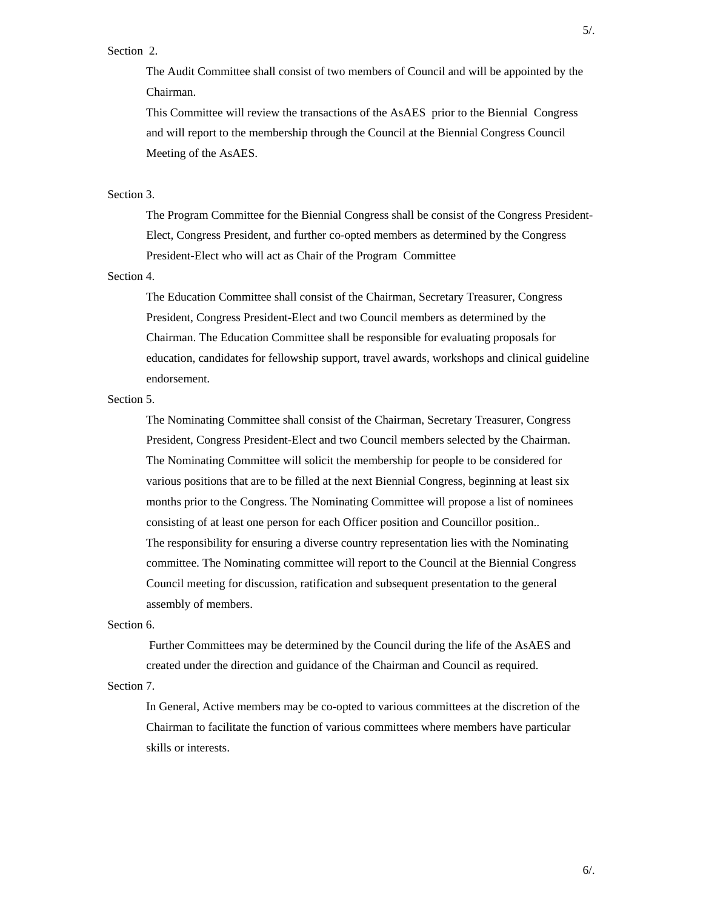### Section 2.

 The Audit Committee shall consist of two members of Council and will be appointed by the Chairman.

 This Committee will review the transactions of the AsAES prior to the Biennial Congress and will report to the membership through the Council at the Biennial Congress Council Meeting of the AsAES.

#### Section 3.

 The Program Committee for the Biennial Congress shall be consist of the Congress President-Elect, Congress President, and further co-opted members as determined by the Congress President-Elect who will act as Chair of the Program Committee

# Section 4.

 The Education Committee shall consist of the Chairman, Secretary Treasurer, Congress President, Congress President-Elect and two Council members as determined by the Chairman. The Education Committee shall be responsible for evaluating proposals for education, candidates for fellowship support, travel awards, workshops and clinical guideline endorsement.

# Section 5.

 The Nominating Committee shall consist of the Chairman, Secretary Treasurer, Congress President, Congress President-Elect and two Council members selected by the Chairman. The Nominating Committee will solicit the membership for people to be considered for various positions that are to be filled at the next Biennial Congress, beginning at least six months prior to the Congress. The Nominating Committee will propose a list of nominees consisting of at least one person for each Officer position and Councillor position.. The responsibility for ensuring a diverse country representation lies with the Nominating committee. The Nominating committee will report to the Council at the Biennial Congress Council meeting for discussion, ratification and subsequent presentation to the general assembly of members.

# Section 6.

 Further Committees may be determined by the Council during the life of the AsAES and created under the direction and guidance of the Chairman and Council as required.

Section 7.

 In General, Active members may be co-opted to various committees at the discretion of the Chairman to facilitate the function of various committees where members have particular skills or interests.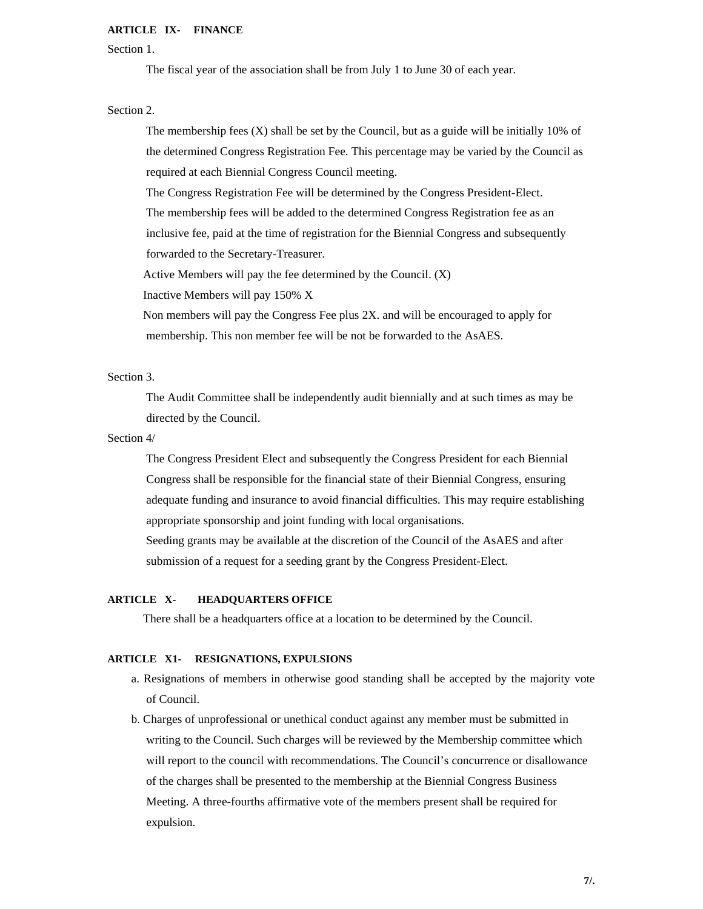#### **ARTICLE IX- FINANCE**

Section 1.

The fiscal year of the association shall be from July 1 to June 30 of each year.

Section 2.

The membership fees  $(X)$  shall be set by the Council, but as a guide will be initially 10% of the determined Congress Registration Fee. This percentage may be varied by the Council as required at each Biennial Congress Council meeting.

The Congress Registration Fee will be determined by the Congress President-Elect.

 The membership fees will be added to the determined Congress Registration fee as an inclusive fee, paid at the time of registration for the Biennial Congress and subsequently

forwarded to the Secretary-Treasurer.

Active Members will pay the fee determined by the Council. (X)

Inactive Members will pay 150% X

 Non members will pay the Congress Fee plus 2X. and will be encouraged to apply for membership. This non member fee will be not be forwarded to the AsAES.

Section 3.

 The Audit Committee shall be independently audit biennially and at such times as may be directed by the Council.

# Section 4/

 The Congress President Elect and subsequently the Congress President for each Biennial Congress shall be responsible for the financial state of their Biennial Congress, ensuring adequate funding and insurance to avoid financial difficulties. This may require establishing appropriate sponsorship and joint funding with local organisations.

 Seeding grants may be available at the discretion of the Council of the AsAES and after submission of a request for a seeding grant by the Congress President-Elect.

# **ARTICLE X- HEADQUARTERS OFFICE**

There shall be a headquarters office at a location to be determined by the Council.

## **ARTICLE X1- RESIGNATIONS, EXPULSIONS**

- a. Resignations of members in otherwise good standing shall be accepted by the majority vote of Council.
- b. Charges of unprofessional or unethical conduct against any member must be submitted in writing to the Council. Such charges will be reviewed by the Membership committee which will report to the council with recommendations. The Council's concurrence or disallowance of the charges shall be presented to the membership at the Biennial Congress Business Meeting. A three-fourths affirmative vote of the members present shall be required for expulsion.

**7/.**